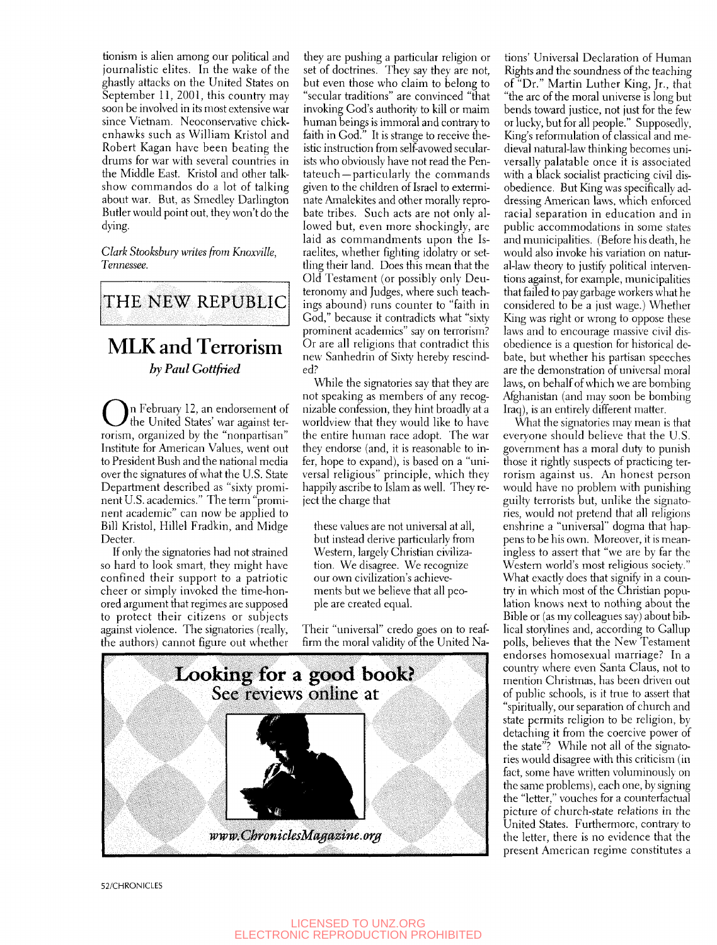tionism is alien among our political and journalistic elites. In the wake of the ghastly attacks on the United States on September 11, 2001, this country may soon be involved in its most extensive war since Vietnam. Neoconservative chickenhawks such as William Kristol and Robert Kagan have been beating the drums for war with several countries in the Middle East. Kristol and other talkshow commandos do a lot of talking about war. But, as Smedley Darlington Butler would point out, they won't do the dying.

*Clark Stooksbury writes from Knoxvilk, Tennessee.* 



## MLK and Terrorism *by Paul Gottfried*

**O**<sup>n</sup> February 12, an endorsement of the United States' war against terrorism, organized by the "nonpartisan" Institute for American Values, went out to President Bush and the national media over the signatures of what the U.S. State Department described as "sixty prominent U.S. academics." The term "prominent academic" can now be applied to Bill Kristol, Hillel Fradkin, and Midge Decter.

If only the signatories had not strained so hard to look smart, they might have confined their support to a patriotic cheer or simply invoked the time-honored argument that regimes are supposed to protect their citizens or subjects against violence. The signatories (really, the authors) cannot figure out whether

they are pushing a particular religion or set of doctrines. They say they are not, but even those who claim to belong to "secular traditions" are convinced "that invoking God's authority to kill or maim human beings is immoral and contrary to faith in God." It is strange to receive theistic instruction from self-avowed secularists who obviously have not read the Pentateuch—particularly the commands given to the children of Israel to exterminate Amalekites and other morally reprobate tribes. Such acts are not only allowed but, even more shockingly, are laid as commandments upon the Israelites, whether fighting idolatry or settling their land. Does this mean that the Old Testament (or possibly only Deuteronomy and Judges, where such teachings abound) runs counter to "faith in God," because it contradicts what "sixty prominent academics" say on terrorism? Or are all religions that contradict this new Sanhedrin of Sixty hereby rescinded?

While the signatories say that they are not speaking as members of any recognizable confession, they hint broadly at a worldview that they would like to have the entire human race adopt. The war they endorse (and, it is reasonable to infer, hope to expand), is based on a "universal religious" principle, which they happily ascribe to Islam as well. They reject the charge that

these values are not universal at all, but instead derive particularly from Western, largely Christian civilization. We disagree. We recognize our own civilization's achievements but we believe that all people are created equal.

Their "universal" credo goes on to reaffirm the moral validity of the United Na-



tions' Universal Declaration of Human Rights and the soundness of the teaching of "Dr." Martin Luther King, Jr., that "the arc of the moral universe is long but bends toward justice, not just for the few or lucky, but for all people." Supposedlv, King's reformulation of classical and medieval natural-law thinking becomes universally palatable once it is associated with a black socialist practicing civil disobedience. But King was specifically addressing American laws, which enforced racial separation in education and in public accommodations in some states and municipalities. (Before his death, he would also invoke his variation on natural-law theory to justify political interventions against, for example, municipalities that failed to pay garbage workers what he considered to be a just wage.) Whether King was right or wrong to oppose these laws and to encourage massive civil disobedience is a question for historical debate, but whether his partisan speeches are the demonstration of universal moral laws, on behalf of which we are bombing Afghanistan (and may soon be bombing Iraq), is an entirely different matter.

What the signatories may mean is that everyone should believe that the U.S. government has a moral duty to punish those it rightly suspects of practicing terrorism against us. An honest person would have no problem with punishing guilty terrorists but, unlike the signatories, would not pretend that all religions enshrine a "universal" dogma that happens to be his own. Moreover, it is meaningless to assert that "we are by far the Western world's most religious society." What exactly does that signify in a country in which most of the Christian population knows next to nothing about the Bible or (as my colleagues say) about biblical storylines and, according to Gallup polls, believes that the New Testament endorses homosexual marriage? In a country where even Santa Glaus, not to mention Christmas, has been driven out of public schools, is it true to assert that "spiritually, our separation of church and state permits religion to be religion, by detaching it from the coercive power of the state"? While not all of the signatories would disagree with this criticism (in fact, some have written voluminously on the same problems), each one, by signing the "letter," vouches for a counterfactual picture of church-state relations in the United States. Furthermore, contrary to the letter, there is no evidence that the present American regime constitutes a

52/CHRONICLES